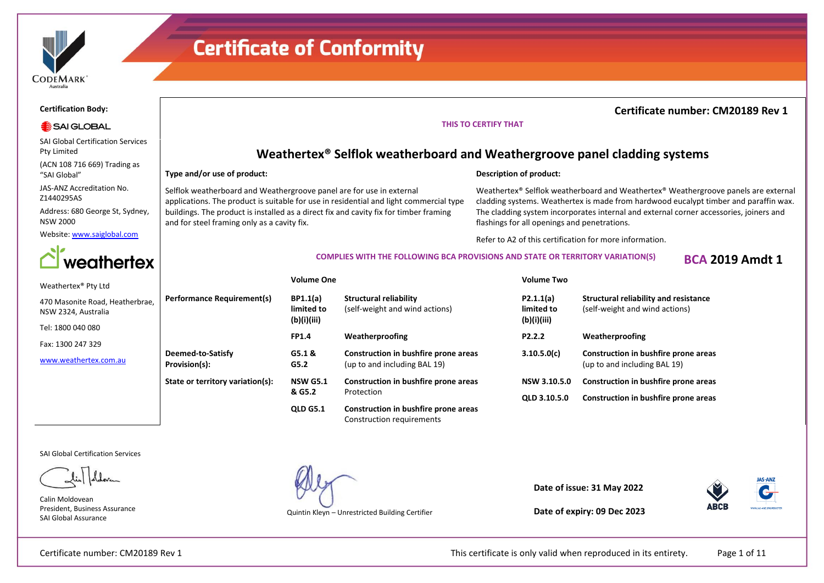

### **Certification Body:**

### SAI GLOBAL

SAI Global Certification Services Pty Limited

(ACN 108 716 669) Trading as "SAI Global"

JAS-ANZ Accreditation No. Z1440295AS

Address: 680 George St, Sydney, NSW 2000

Website[: www.saiglobal.com](http://www.saiglobal.com/)



#### Weathertex® Pty Ltd

| 470 Masonite Road, Heatherbrae, |
|---------------------------------|
| NSW 2324, Australia             |
|                                 |

Tel: 1800 040 080

Fax: 1300 247 329

[www.weathertex.com.au](http://www.weathertex.com.au/)

**Weathertex® Selflok weatherboard and Weathergroove panel cladding systems**

### **Type and/or use of product:**

Selflok weatherboard and Weathergroove panel are for use in external applications. The product is suitable for use in residential and light commercial type buildings. The product is installed as a direct fix and cavity fix for timber framing and for steel framing only as a cavity fix.

### **Description of product:**

Weathertex® Selflok weatherboard and Weathertex® Weathergroove panels are external cladding systems. Weathertex is made from hardwood eucalypt timber and paraffin wax. The cladding system incorporates internal and external corner accessories, joiners and flashings for all openings and penetrations.

Refer to A2 of this certification for more information.

### **COMPLIES WITH THE FOLLOWING BCA PROVISIONS AND STATE OR TERRITORY VARIATION(S) BCA 2019 Amdt 1**

**THIS TO CERTIFY THAT**

### **Volume One Volume Two**

| <b>Performance Requirement(s)</b>  | <b>BP1.1(a)</b><br>limited to<br>(b)(i)(iii) | Structural reliability<br>(self-weight and wind actions)             |
|------------------------------------|----------------------------------------------|----------------------------------------------------------------------|
|                                    | <b>FP1.4</b>                                 | Weatherproofing                                                      |
| Deemed-to-Satisfy<br>Provision(s): | G5.1 &<br>G5.2                               | Construction in bushfire prone areas<br>(up to and including BAL 19) |
| State or territory variation(s):   | <b>NSW G5.1</b><br>& G5.2                    | Construction in bushfire prone areas<br>Protection                   |
|                                    | <b>QLD G5.1</b>                              | Construction in bushfire prone areas<br>Construction requirements    |

| P2.1.1(a)<br>limited to<br>(b)(i)(iii) | Structural reliability and resistance<br>(self-weight and wind actions) |
|----------------------------------------|-------------------------------------------------------------------------|
| P <sub>2</sub> .2.2                    | Weatherproofing                                                         |
| 3.10.5.0(c)                            | Construction in bushfire prone areas<br>(up to and including BAL 19)    |
| NSW 3.10.5.0                           | Construction in bushfire prone areas                                    |
| <b>OLD 3.10.5.0</b>                    | Construction in bushfire prone areas                                    |

SAI Global Certification Services

Calin Moldovean President, Business Assurance SAI Global Assurance

Quintin Kleyn – Unrestricted Building Certifier

**Date of issue: 31 May 2022**



**Date of expiry: 09 Dec 2023**

Certificate number: CM20189 Rev 1 This certificate is only valid when reproduced in its entirety. Page 1 of 11

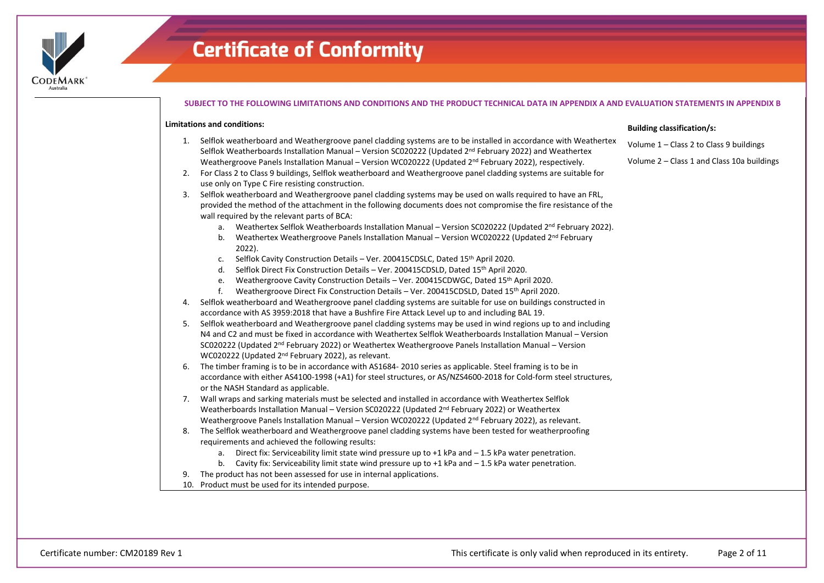

### **SUBJECT TO THE FOLLOWING LIMITATIONS AND CONDITIONS AND THE PRODUCT TECHNICAL DATA IN APPENDIX A AND EVALUATION STATEMENTS IN APPENDIX B**

### **Limitations and conditions:**

- 1. Selflok weatherboard and Weathergroove panel cladding systems are to be installed in accordance with Weathertex Selflok Weatherboards Installation Manual – Version SC020222 (Updated 2<sup>nd</sup> February 2022) and Weathertex Weathergroove Panels Installation Manual – Version WC020222 (Updated 2<sup>nd</sup> February 2022), respectively.
- 2. For Class 2 to Class 9 buildings, Selflok weatherboard and Weathergroove panel cladding systems are suitable for use only on Type C Fire resisting construction.
- 3. Selflok weatherboard and Weathergroove panel cladding systems may be used on walls required to have an FRL, provided the method of the attachment in the following documents does not compromise the fire resistance of the wall required by the relevant parts of BCA:
	- a. Weathertex Selflok Weatherboards Installation Manual Version SC020222 (Updated 2<sup>nd</sup> February 2022).
	- b. Weathertex Weathergroove Panels Installation Manual Version WC020222 (Updated 2<sup>nd</sup> February 2022).
	- c. Selflok Cavity Construction Details Ver. 200415CDSLC, Dated 15th April 2020.
	- d. Selflok Direct Fix Construction Details Ver. 200415CDSLD, Dated 15th April 2020.
	- e. Weathergroove Cavity Construction Details Ver. 200415CDWGC, Dated 15th April 2020.
	- f. Weathergroove Direct Fix Construction Details Ver. 200415CDSLD, Dated 15th April 2020.
- 4. Selflok weatherboard and Weathergroove panel cladding systems are suitable for use on buildings constructed in accordance with AS 3959:2018 that have a Bushfire Fire Attack Level up to and including BAL 19.
- 5. Selflok weatherboard and Weathergroove panel cladding systems may be used in wind regions up to and including N4 and C2 and must be fixed in accordance with Weathertex Selflok Weatherboards Installation Manual – Version SC020222 (Updated 2nd February 2022) or Weathertex Weathergroove Panels Installation Manual – Version WC020222 (Updated 2nd February 2022), as relevant.
- 6. The timber framing is to be in accordance with AS1684- 2010 series as applicable. Steel framing is to be in accordance with either AS4100-1998 (+A1) for steel structures, or AS/NZS4600-2018 for Cold-form steel structures, or the NASH Standard as applicable.
- 7. Wall wraps and sarking materials must be selected and installed in accordance with Weathertex Selflok Weatherboards Installation Manual – Version SC020222 (Updated  $2^{nd}$  February 2022) or Weathertex Weathergroove Panels Installation Manual – Version WC020222 (Updated 2<sup>nd</sup> February 2022), as relevant.
- 8. The Selflok weatherboard and Weathergroove panel cladding systems have been tested for weatherproofing requirements and achieved the following results:
	- a. Direct fix: Serviceability limit state wind pressure up to +1 kPa and 1.5 kPa water penetration.
	- b. Cavity fix: Serviceability limit state wind pressure up to  $+1$  kPa and  $-1.5$  kPa water penetration.
- 9. The product has not been assessed for use in internal applications.
- 10. Product must be used for its intended purpose.

### **Building classification/s:**

- Volume 1 Class 2 to Class 9 buildings
- Volume 2 Class 1 and Class 10a buildings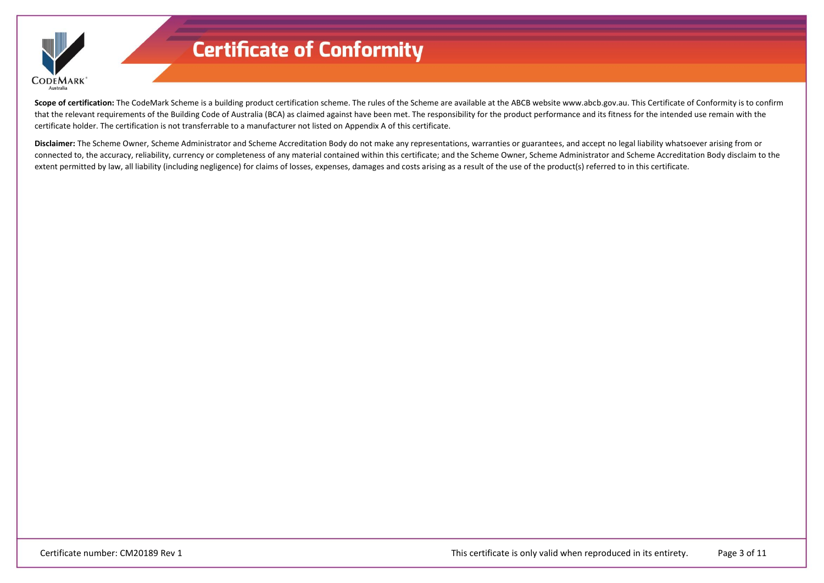

Scope of certification: The CodeMark Scheme is a building product certification scheme. The rules of the Scheme are available at the ABCB website www.abcb.gov.au. This Certificate of Conformity is to confirm that the relevant requirements of the Building Code of Australia (BCA) as claimed against have been met. The responsibility for the product performance and its fitness for the intended use remain with the certificate holder. The certification is not transferrable to a manufacturer not listed on Appendix A of this certificate.

**Disclaimer:** The Scheme Owner, Scheme Administrator and Scheme Accreditation Body do not make any representations, warranties or guarantees, and accept no legal liability whatsoever arising from or connected to, the accuracy, reliability, currency or completeness of any material contained within this certificate; and the Scheme Owner, Scheme Administrator and Scheme Accreditation Body disclaim to the extent permitted by law, all liability (including negligence) for claims of losses, expenses, damages and costs arising as a result of the use of the product(s) referred to in this certificate.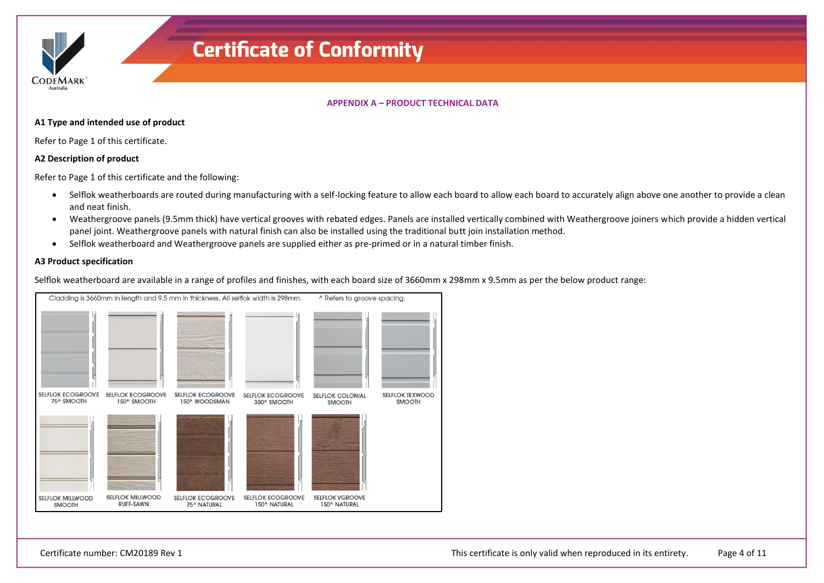**CODEMARK** 

### **APPENDIX A – PRODUCT TECHNICAL DATA**

### **A1 Type and intended use of product**

Refer to Page 1 of this certificate.

### **A2 Description of product**

Refer to Page 1 of this certificate and the following:

- Selflok weatherboards are routed during manufacturing with a self-locking feature to allow each board to allow each board to accurately align above one another to provide a clean and neat finish.
- Weathergroove panels (9.5mm thick) have vertical grooves with rebated edges. Panels are installed vertically combined with Weathergroove joiners which provide a hidden vertical panel joint. Weathergroove panels with natural finish can also be installed using the traditional butt join installation method.
- Selflok weatherboard and Weathergroove panels are supplied either as pre-primed or in a natural timber finish.

### **A3 Product specification**

Selflok weatherboard are available in a range of profiles and finishes, with each board size of 3660mm x 298mm x 9.5mm as per the below product range:

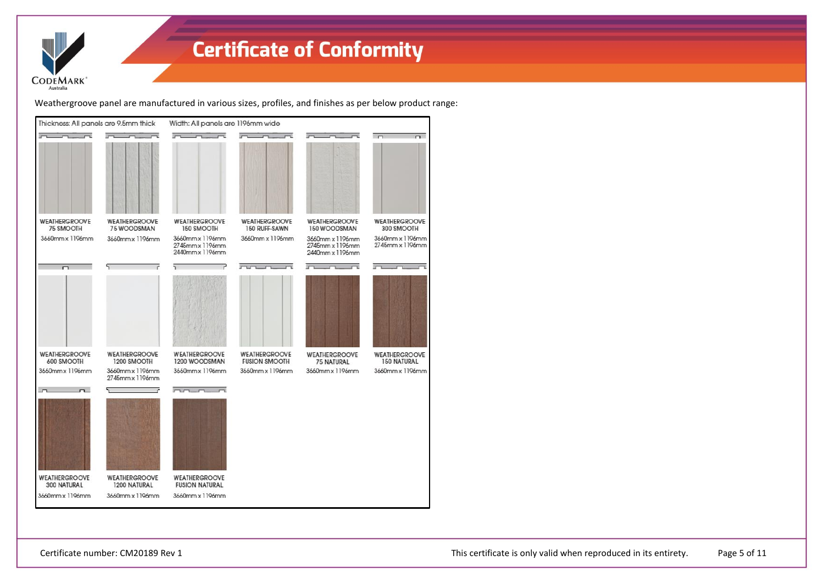

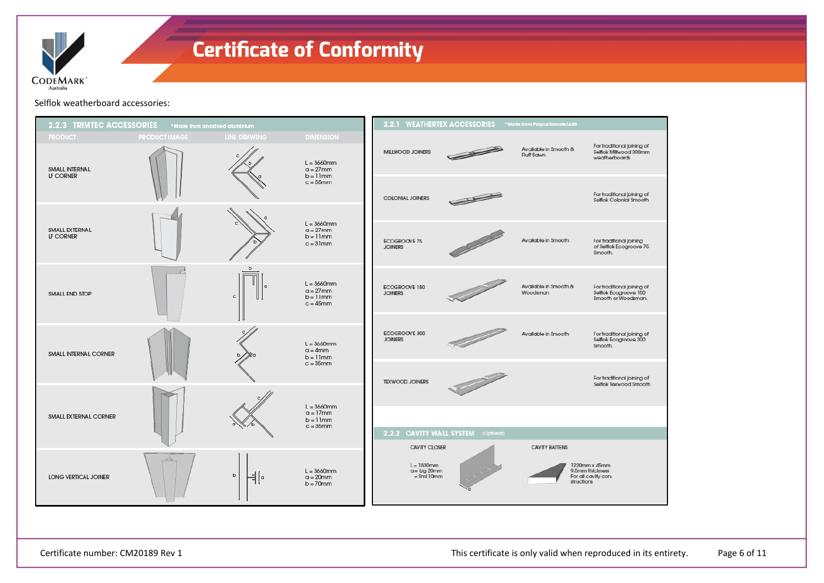

Selflok weatherboard accessories:

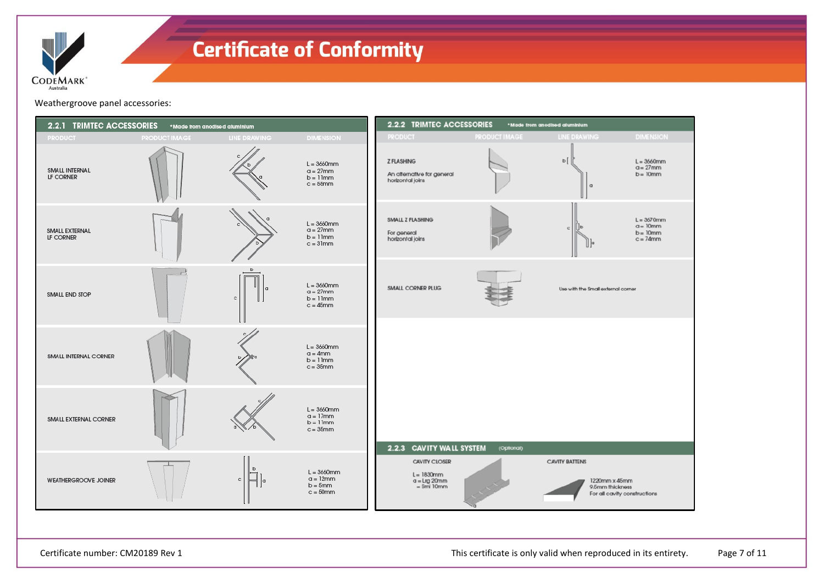

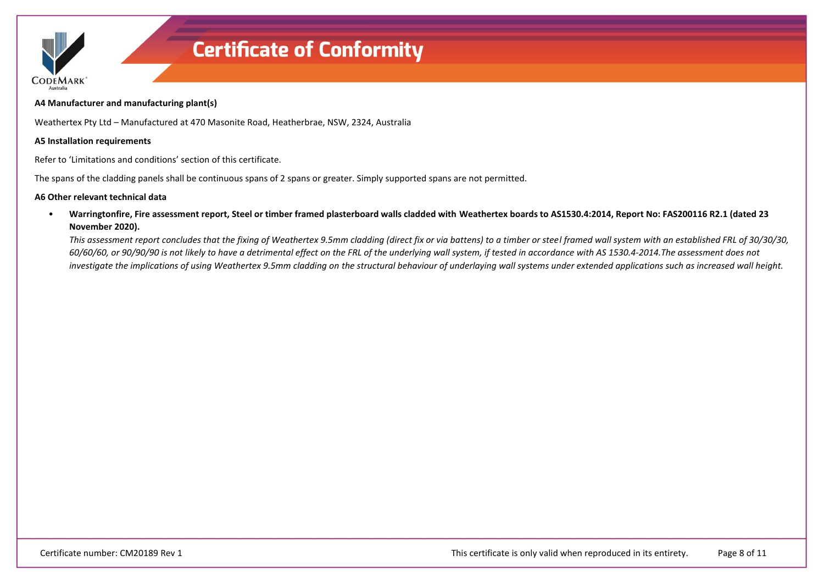

### **A4 Manufacturer and manufacturing plant(s)**

Weathertex Pty Ltd – Manufactured at 470 Masonite Road, Heatherbrae, NSW, 2324, Australia

### **A5 Installation requirements**

Refer to 'Limitations and conditions' section of this certificate.

The spans of the cladding panels shall be continuous spans of 2 spans or greater. Simply supported spans are not permitted.

### **A6 Other relevant technical data**

• **Warringtonfire, Fire assessment report, Steel or timber framed plasterboard walls cladded with Weathertex boards to AS1530.4:2014, Report No: FAS200116 R2.1 (dated 23 November 2020).**

*This assessment report concludes that the fixing of Weathertex 9.5mm cladding (direct fix or via battens) to a timber or steel framed wall system with an established FRL of 30/30/30, 60/60/60, or 90/90/90 is not likely to have a detrimental effect on the FRL of the underlying wall system, if tested in accordance with AS 1530.4-2014.The assessment does not*  investigate the implications of using Weathertex 9.5mm cladding on the structural behaviour of underlaying wall systems under extended applications such as increased wall height.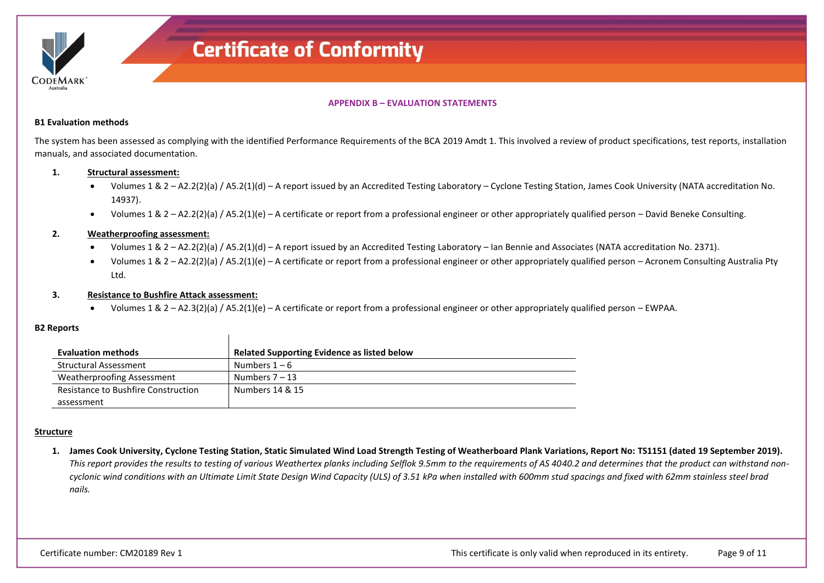

### **APPENDIX B – EVALUATION STATEMENTS**

### **B1 Evaluation methods**

The system has been assessed as complying with the identified Performance Requirements of the BCA 2019 Amdt 1. This involved a review of product specifications, test reports, installation manuals, and associated documentation.

### **1. Structural assessment:**

- Volumes 1 & 2 A2.2(2)(a) / A5.2(1)(d) A report issued by an Accredited Testing Laboratory Cyclone Testing Station, James Cook University (NATA accreditation No. 14937).
- Volumes 1 & 2 A2.2(2)(a) / A5.2(1)(e) A certificate or report from a professional engineer or other appropriately qualified person David Beneke Consulting.

### **2. Weatherproofing assessment:**

- Volumes 1 & 2 A2.2(2)(a) / A5.2(1)(d) A report issued by an Accredited Testing Laboratory Ian Bennie and Associates (NATA accreditation No. 2371).
- Volumes 1 & 2 A2.2(2)(a) / A5.2(1)(e) A certificate or report from a professional engineer or other appropriately qualified person Acronem Consulting Australia Pty Ltd.

### **3. Resistance to Bushfire Attack assessment:**

• Volumes 1 & 2 – A2.3(2)(a) / A5.2(1)(e) – A certificate or report from a professional engineer or other appropriately qualified person – EWPAA.

### **B2 Reports**

| <b>Evaluation methods</b>           | Related Supporting Evidence as listed below |
|-------------------------------------|---------------------------------------------|
| <b>Structural Assessment</b>        | Numbers $1-6$                               |
| Weatherproofing Assessment          | Numbers $7-13$                              |
| Resistance to Bushfire Construction | Numbers 14 & 15                             |
| assessment                          |                                             |

### **Structure**

**1. James Cook University, Cyclone Testing Station, Static Simulated Wind Load Strength Testing of Weatherboard Plank Variations, Report No: TS1151 (dated 19 September 2019).** *This report provides the results to testing of various Weathertex planks including Selflok 9.5mm to the requirements of AS 4040.2 and determines that the product can withstand noncyclonic wind conditions with an Ultimate Limit State Design Wind Capacity (ULS) of 3.51 kPa when installed with 600mm stud spacings and fixed with 62mm stainless steel brad nails.*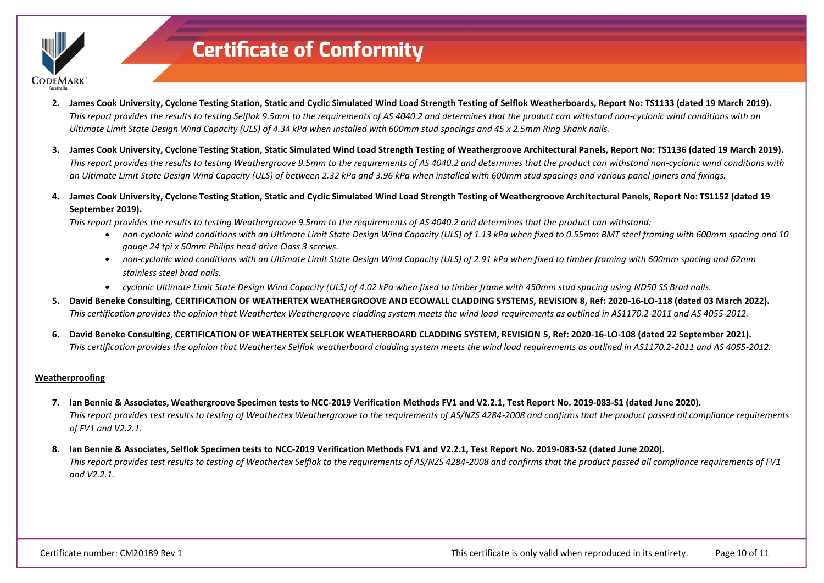

- **2. James Cook University, Cyclone Testing Station, Static and Cyclic Simulated Wind Load Strength Testing of Selflok Weatherboards, Report No: TS1133 (dated 19 March 2019).** *This report provides the results to testing Selflok 9.5mm to the requirements of AS 4040.2 and determines that the product can withstand non-cyclonic wind conditions with an Ultimate Limit State Design Wind Capacity (ULS) of 4.34 kPa when installed with 600mm stud spacings and 45 x 2.5mm Ring Shank nails.*
- **3. James Cook University, Cyclone Testing Station, Static Simulated Wind Load Strength Testing of Weathergroove Architectural Panels, Report No: TS1136 (dated 19 March 2019).** *This report provides the results to testing Weathergroove 9.5mm to the requirements of AS 4040.2 and determines that the product can withstand non-cyclonic wind conditions with an Ultimate Limit State Design Wind Capacity (ULS) of between 2.32 kPa and 3.96 kPa when installed with 600mm stud spacings and various panel joiners and fixings.*
- **4. James Cook University, Cyclone Testing Station, Static and Cyclic Simulated Wind Load Strength Testing of Weathergroove Architectural Panels, Report No: TS1152 (dated 19 September 2019).**
	- *This report provides the results to testing Weathergroove 9.5mm to the requirements of AS 4040.2 and determines that the product can withstand:*
		- *non-cyclonic wind conditions with an Ultimate Limit State Design Wind Capacity (ULS) of 1.13 kPa when fixed to 0.55mm BMT steel framing with 600mm spacing and 10 gauge 24 tpi x 50mm Philips head drive Class 3 screws.*
		- *non-cyclonic wind conditions with an Ultimate Limit State Design Wind Capacity (ULS) of 2.91 kPa when fixed to timber framing with 600mm spacing and 62mm stainless steel brad nails.*
		- *cyclonic Ultimate Limit State Design Wind Capacity (ULS) of 4.02 kPa when fixed to timber frame with 450mm stud spacing using ND50 SS Brad nails.*
- **5. David Beneke Consulting, CERTIFICATION OF WEATHERTEX WEATHERGROOVE AND ECOWALL CLADDING SYSTEMS, REVISION 8, Ref: 2020-16-LO-118 (dated 03 March 2022).** *This certification provides the opinion that Weathertex Weathergroove cladding system meets the wind load requirements as outlined in AS1170.2-2011 and AS 4055-2012.*
- **6. David Beneke Consulting, CERTIFICATION OF WEATHERTEX SELFLOK WEATHERBOARD CLADDING SYSTEM, REVISION 5, Ref: 2020-16-LO-108 (dated 22 September 2021).** *This certification provides the opinion that Weathertex Selflok weatherboard cladding system meets the wind load requirements as outlined in AS1170.2-2011 and AS 4055-2012.*

### **Weatherproofing**

- **7. Ian Bennie & Associates, Weathergroove Specimen tests to NCC-2019 Verification Methods FV1 and V2.2.1, Test Report No. 2019-083-S1 (dated June 2020).** *This report provides test results to testing of Weathertex Weathergroove to the requirements of AS/NZS 4284-2008 and confirms that the product passed all compliance requirements of FV1 and V2.2.1.*
- **8. Ian Bennie & Associates, Selflok Specimen tests to NCC-2019 Verification Methods FV1 and V2.2.1, Test Report No. 2019-083-S2 (dated June 2020).** *This report provides test results to testing of Weathertex Selflok to the requirements of AS/NZS 4284-2008 and confirms that the product passed all compliance requirements of FV1 and V2.2.1.*